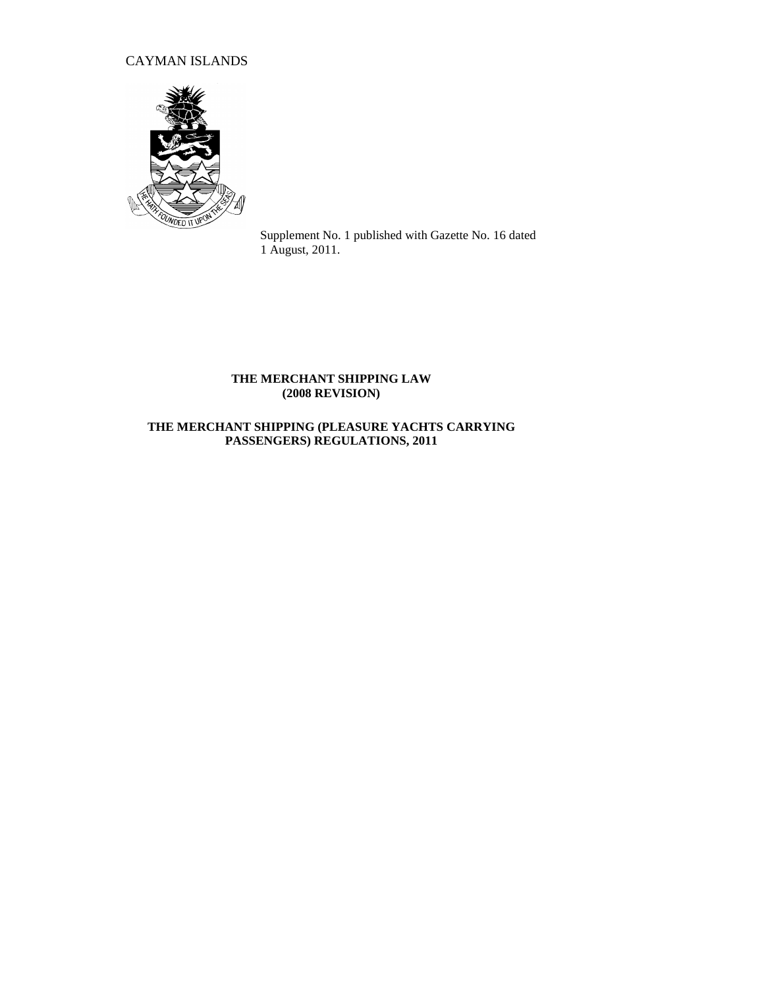# CAYMAN ISLANDS



Supplement No. 1 published with Gazette No. 16 dated 1 August, 2011.

### **THE MERCHANT SHIPPING LAW (2008 REVISION)**

## **THE MERCHANT SHIPPING (PLEASURE YACHTS CARRYING PASSENGERS) REGULATIONS, 2011**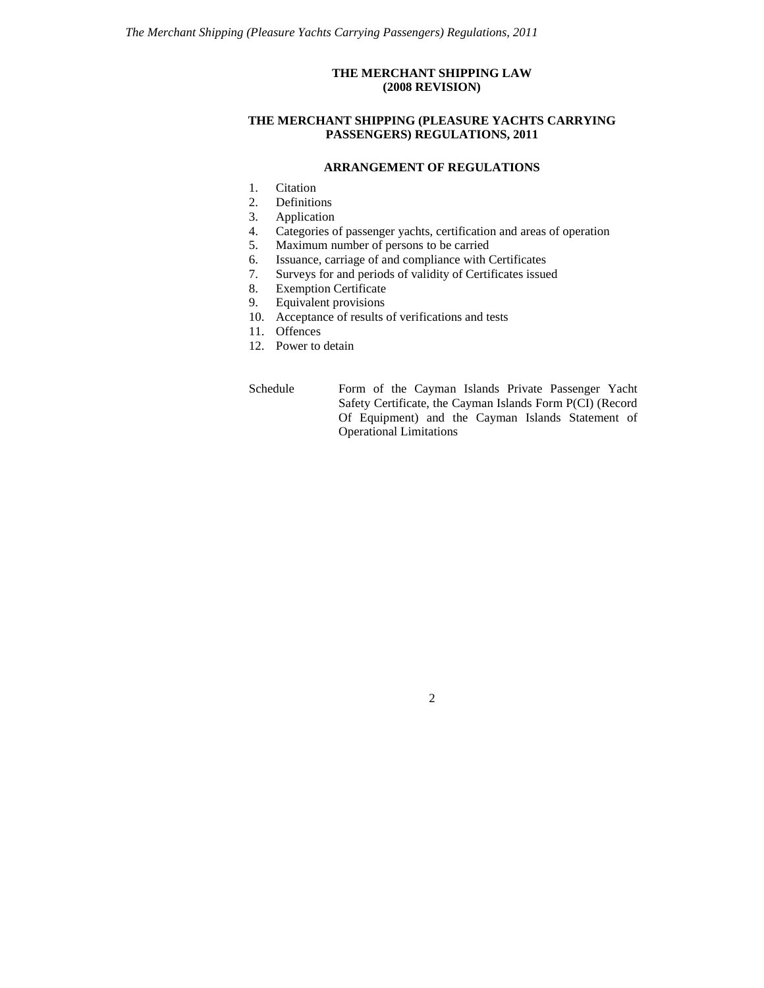### **THE MERCHANT SHIPPING LAW (2008 REVISION)**

#### **THE MERCHANT SHIPPING (PLEASURE YACHTS CARRYING PASSENGERS) REGULATIONS, 2011**

#### **ARRANGEMENT OF REGULATIONS**

- 1. Citation
- 2. Definitions
- 3. Application
- 4. Categories of passenger yachts, certification and areas of operation
- 5. Maximum number of persons to be carried
- 6. Issuance, carriage of and compliance with Certificates
- 7. Surveys for and periods of validity of Certificates issued
- 8. Exemption Certificate
- 9. Equivalent provisions
- 10. Acceptance of results of verifications and tests
- 11. Offences
- 12. Power to detain

Schedule Form of the Cayman Islands Private Passenger Yacht Safety Certificate, the Cayman Islands Form P(CI) (Record Of Equipment) and the Cayman Islands Statement of Operational Limitations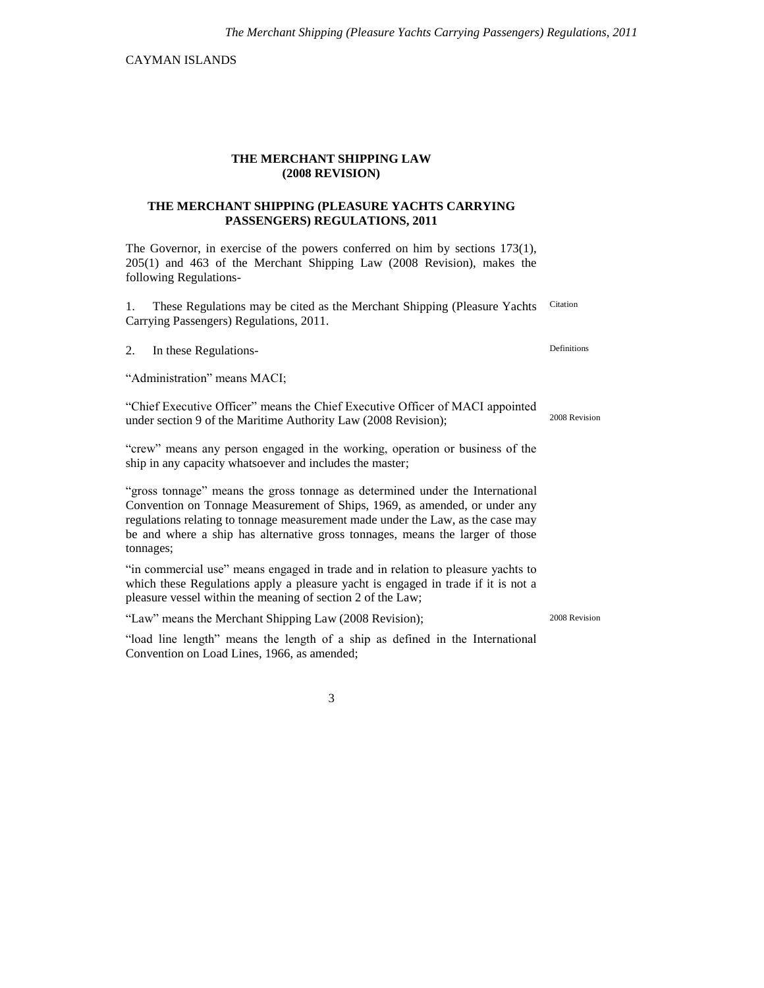CAYMAN ISLANDS

#### **THE MERCHANT SHIPPING LAW (2008 REVISION)**

### **THE MERCHANT SHIPPING (PLEASURE YACHTS CARRYING PASSENGERS) REGULATIONS, 2011**

The Governor, in exercise of the powers conferred on him by sections 173(1), 205(1) and 463 of the Merchant Shipping Law (2008 Revision), makes the following Regulations-

1. These Regulations may be cited as the Merchant Shipping (Pleasure Yachts Carrying Passengers) Regulations, 2011. Citation

2. In these Regulations-

"Administration" means MACI;

"Chief Executive Officer" means the Chief Executive Officer of MACI appointed under section 9 of the Maritime Authority Law (2008 Revision);

"crew" means any person engaged in the working, operation or business of the ship in any capacity whatsoever and includes the master;

"gross tonnage" means the gross tonnage as determined under the International Convention on Tonnage Measurement of Ships, 1969, as amended, or under any regulations relating to tonnage measurement made under the Law, as the case may be and where a ship has alternative gross tonnages, means the larger of those tonnages;

"in commercial use" means engaged in trade and in relation to pleasure yachts to which these Regulations apply a pleasure yacht is engaged in trade if it is not a pleasure vessel within the meaning of section 2 of the Law;

"Law" means the Merchant Shipping Law (2008 Revision);

"load line length" means the length of a ship as defined in the International Convention on Load Lines, 1966, as amended;

3

Definitions

2008 Revision

2008 Revision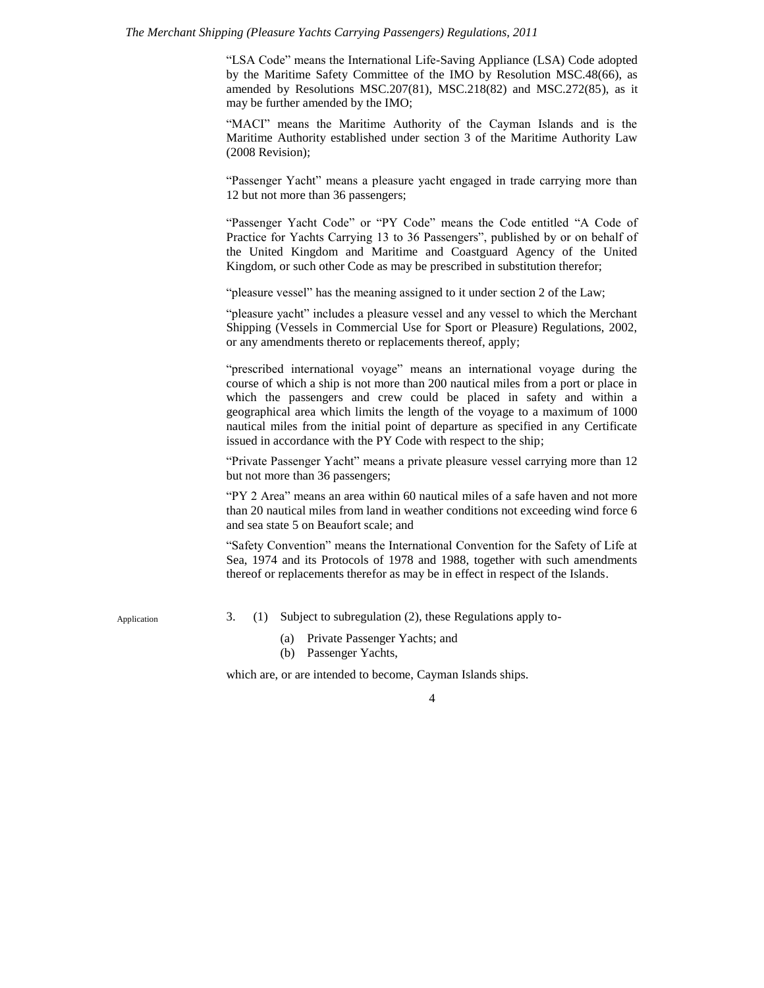#### *The Merchant Shipping (Pleasure Yachts Carrying Passengers) Regulations, 2011*

"LSA Code" means the International Life-Saving Appliance (LSA) Code adopted by the Maritime Safety Committee of the IMO by Resolution MSC.48(66), as amended by Resolutions MSC.207(81), MSC.218(82) and MSC.272(85), as it may be further amended by the IMO;

"MACI" means the Maritime Authority of the Cayman Islands and is the Maritime Authority established under section 3 of the Maritime Authority Law (2008 Revision);

"Passenger Yacht" means a pleasure yacht engaged in trade carrying more than 12 but not more than 36 passengers;

"Passenger Yacht Code" or "PY Code" means the Code entitled "A Code of Practice for Yachts Carrying 13 to 36 Passengers", published by or on behalf of the United Kingdom and Maritime and Coastguard Agency of the United Kingdom, or such other Code as may be prescribed in substitution therefor;

"pleasure vessel" has the meaning assigned to it under section 2 of the Law;

"pleasure yacht" includes a pleasure vessel and any vessel to which the Merchant Shipping (Vessels in Commercial Use for Sport or Pleasure) Regulations, 2002, or any amendments thereto or replacements thereof, apply;

"prescribed international voyage" means an international voyage during the course of which a ship is not more than 200 nautical miles from a port or place in which the passengers and crew could be placed in safety and within a geographical area which limits the length of the voyage to a maximum of 1000 nautical miles from the initial point of departure as specified in any Certificate issued in accordance with the PY Code with respect to the ship;

"Private Passenger Yacht" means a private pleasure vessel carrying more than 12 but not more than 36 passengers;

"PY 2 Area" means an area within 60 nautical miles of a safe haven and not more than 20 nautical miles from land in weather conditions not exceeding wind force 6 and sea state 5 on Beaufort scale; and

"Safety Convention" means the International Convention for the Safety of Life at Sea, 1974 and its Protocols of 1978 and 1988, together with such amendments thereof or replacements therefor as may be in effect in respect of the Islands.

Application

- 3. (1) Subject to subregulation (2), these Regulations apply to-
	- (a) Private Passenger Yachts; and
	- (b) Passenger Yachts,

which are, or are intended to become, Cayman Islands ships.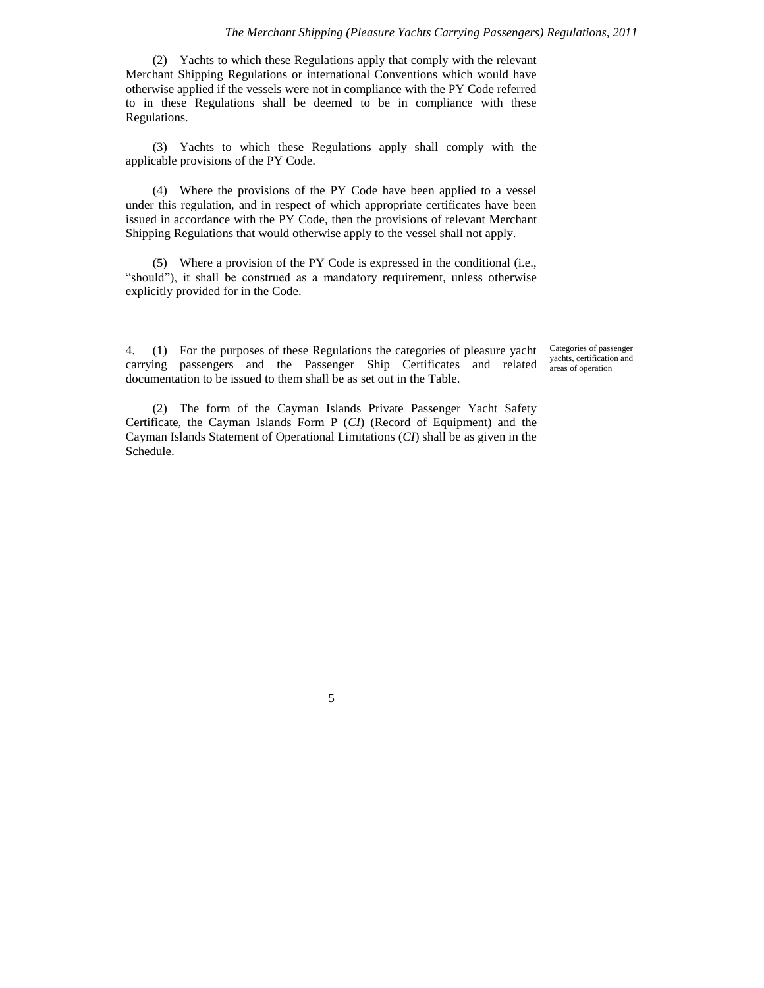(2) Yachts to which these Regulations apply that comply with the relevant Merchant Shipping Regulations or international Conventions which would have otherwise applied if the vessels were not in compliance with the PY Code referred to in these Regulations shall be deemed to be in compliance with these Regulations.

(3) Yachts to which these Regulations apply shall comply with the applicable provisions of the PY Code.

(4) Where the provisions of the PY Code have been applied to a vessel under this regulation, and in respect of which appropriate certificates have been issued in accordance with the PY Code, then the provisions of relevant Merchant Shipping Regulations that would otherwise apply to the vessel shall not apply.

(5) Where a provision of the PY Code is expressed in the conditional (i.e., "should"), it shall be construed as a mandatory requirement, unless otherwise explicitly provided for in the Code.

4. (1) For the purposes of these Regulations the categories of pleasure yacht carrying passengers and the Passenger Ship Certificates and related documentation to be issued to them shall be as set out in the Table.

Categories of passenger yachts, certification and areas of operation

(2) The form of the Cayman Islands Private Passenger Yacht Safety Certificate, the Cayman Islands Form P (*CI*) (Record of Equipment) and the Cayman Islands Statement of Operational Limitations (*CI*) shall be as given in the Schedule.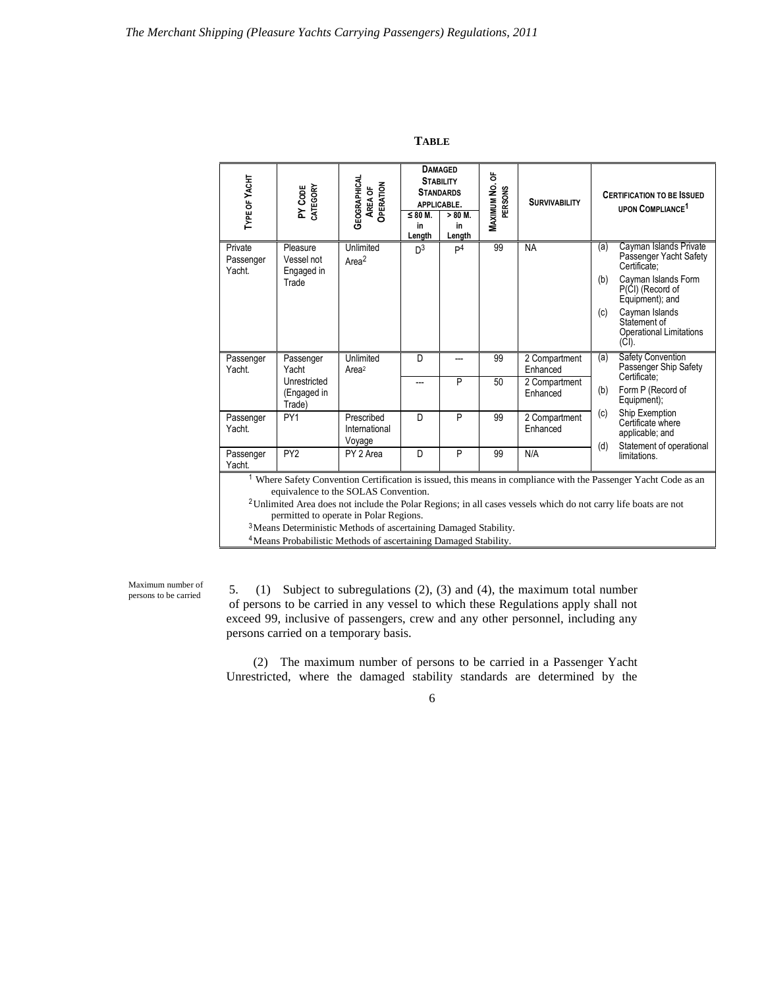| <b>TYPE OF YACHT</b>           | PY CODE<br>CATEGORY                                         | <b>GEOGRAPHICAL</b><br>OPERATION<br><b>AREA OF</b> | $\leq 80$ M.<br>in<br>Length | <b>DAMAGED</b><br><b>STABILITY</b><br><b>STANDARDS</b><br>APPLICABLE.<br>$> 80$ M.<br>in<br>Length | ៉<br><b>MAXIMUM NO.</b><br>PERSONS | <b>SURVIVABILITY</b>                                   |                   | <b>CERTIFICATION TO BE ISSUED</b><br><b>UPON COMPLIANCE<sup>1</sup></b>                                                                                                                                               |
|--------------------------------|-------------------------------------------------------------|----------------------------------------------------|------------------------------|----------------------------------------------------------------------------------------------------|------------------------------------|--------------------------------------------------------|-------------------|-----------------------------------------------------------------------------------------------------------------------------------------------------------------------------------------------------------------------|
| Private<br>Passenger<br>Yacht. | Pleasure<br>Vessel not<br>Engaged in<br>Trade               | Unlimited<br>Area <sup>2</sup>                     | D <sup>3</sup>               | P <sup>4</sup>                                                                                     | 99                                 | <b>NA</b>                                              | (a)<br>(b)<br>(c) | Cayman Islands Private<br>Passenger Yacht Safety<br>Certificate:<br>Cayman Islands Form<br>$P(\dot{C})$ (Record of<br>Equipment); and<br>Cayman Islands<br>Statement of<br><b>Operational Limitations</b><br>$(CI)$ . |
| Passenger<br>Yacht.            | Passenger<br>Yacht<br>Unrestricted<br>(Engaged in<br>Trade) | Unlimited<br>Area <sup>2</sup>                     | D<br>---                     | ---<br>P                                                                                           | 99<br>50                           | 2 Compartment<br>Enhanced<br>2 Compartment<br>Enhanced | (a)<br>(b)        | <b>Safety Convention</b><br>Passenger Ship Safety<br>Certificate:<br>Form P (Record of<br>Equipment);                                                                                                                 |
| Passenger<br>Yacht.            | PY1                                                         | Prescribed<br>International<br>Voyage              | D                            | P                                                                                                  | 99                                 | 2 Compartment<br>Enhanced                              | (c)<br>(d)        | Ship Exemption<br>Certificate where<br>applicable; and<br>Statement of operational                                                                                                                                    |
| Passenger<br>Yacht.            | PY <sub>2</sub>                                             | PY 2 Area                                          | D                            | P                                                                                                  | 99                                 | N/A                                                    |                   | limitations.<br>Where Safety Convention Certification is issued, this means in compliance with the Passenger Yacht Code as an                                                                                         |

**TABLE**

<sup>1</sup> Where Safety Convention Certification is issued, this means in compliance with the Passenger Yacht Code as an equivalence to the SOLAS Convention.

<sup>2</sup>Unlimited Area does not include the Polar Regions; in all cases vessels which do not carry life boats are not permitted to operate in Polar Regions.

<sup>3</sup>Means Deterministic Methods of ascertaining Damaged Stability.

<sup>4</sup>Means Probabilistic Methods of ascertaining Damaged Stability.

Maximum number of persons to be carried

5. (1) Subject to subregulations (2), (3) and (4), the maximum total number of persons to be carried in any vessel to which these Regulations apply shall not exceed 99, inclusive of passengers, crew and any other personnel, including any persons carried on a temporary basis.

(2) The maximum number of persons to be carried in a Passenger Yacht Unrestricted, where the damaged stability standards are determined by the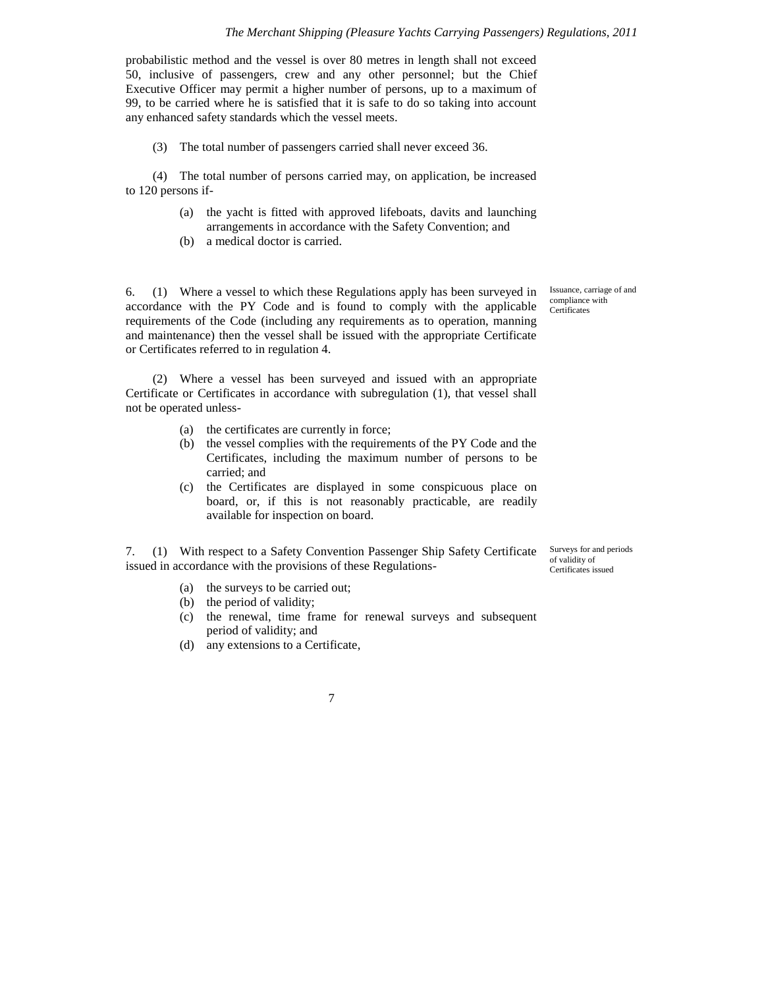#### *The Merchant Shipping (Pleasure Yachts Carrying Passengers) Regulations, 2011*

probabilistic method and the vessel is over 80 metres in length shall not exceed 50, inclusive of passengers, crew and any other personnel; but the Chief Executive Officer may permit a higher number of persons, up to a maximum of 99, to be carried where he is satisfied that it is safe to do so taking into account any enhanced safety standards which the vessel meets.

(3) The total number of passengers carried shall never exceed 36.

(4) The total number of persons carried may, on application, be increased to 120 persons if-

- (a) the yacht is fitted with approved lifeboats, davits and launching arrangements in accordance with the Safety Convention; and
- (b) a medical doctor is carried.

6. (1) Where a vessel to which these Regulations apply has been surveyed in accordance with the PY Code and is found to comply with the applicable requirements of the Code (including any requirements as to operation, manning and maintenance) then the vessel shall be issued with the appropriate Certificate or Certificates referred to in regulation 4.

(2) Where a vessel has been surveyed and issued with an appropriate Certificate or Certificates in accordance with subregulation (1), that vessel shall not be operated unless-

- (a) the certificates are currently in force;
- (b) the vessel complies with the requirements of the PY Code and the Certificates, including the maximum number of persons to be carried; and
- (c) the Certificates are displayed in some conspicuous place on board, or, if this is not reasonably practicable, are readily available for inspection on board.

7. (1) With respect to a Safety Convention Passenger Ship Safety Certificate issued in accordance with the provisions of these Regulations-

Surveys for and periods of validity of Certificates issued

- (a) the surveys to be carried out;
- (b) the period of validity;
- (c) the renewal, time frame for renewal surveys and subsequent period of validity; and
- (d) any extensions to a Certificate,

7

Issuance, carriage of and compliance with **Certificates**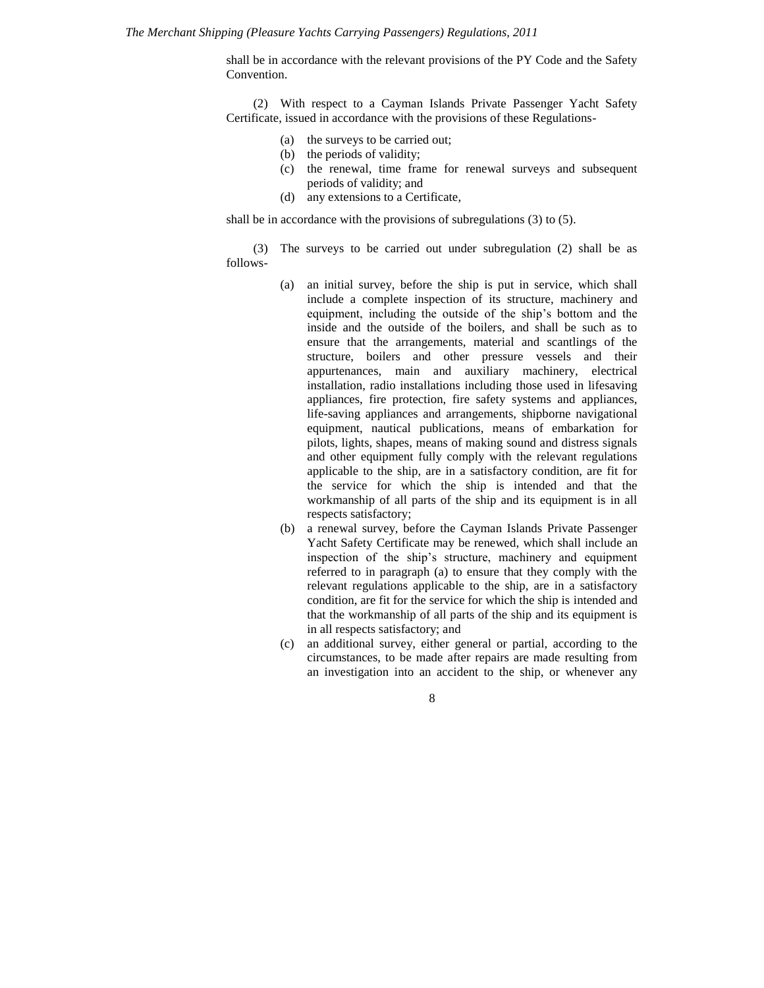shall be in accordance with the relevant provisions of the PY Code and the Safety Convention.

(2) With respect to a Cayman Islands Private Passenger Yacht Safety Certificate, issued in accordance with the provisions of these Regulations-

- (a) the surveys to be carried out;
- (b) the periods of validity;
- (c) the renewal, time frame for renewal surveys and subsequent periods of validity; and
- (d) any extensions to a Certificate,

shall be in accordance with the provisions of subregulations (3) to (5).

(3) The surveys to be carried out under subregulation (2) shall be as follows-

- (a) an initial survey, before the ship is put in service, which shall include a complete inspection of its structure, machinery and equipment, including the outside of the ship's bottom and the inside and the outside of the boilers, and shall be such as to ensure that the arrangements, material and scantlings of the structure, boilers and other pressure vessels and their appurtenances, main and auxiliary machinery, electrical installation, radio installations including those used in lifesaving appliances, fire protection, fire safety systems and appliances, life-saving appliances and arrangements, shipborne navigational equipment, nautical publications, means of embarkation for pilots, lights, shapes, means of making sound and distress signals and other equipment fully comply with the relevant regulations applicable to the ship, are in a satisfactory condition, are fit for the service for which the ship is intended and that the workmanship of all parts of the ship and its equipment is in all respects satisfactory;
- (b) a renewal survey, before the Cayman Islands Private Passenger Yacht Safety Certificate may be renewed, which shall include an inspection of the ship's structure, machinery and equipment referred to in paragraph (a) to ensure that they comply with the relevant regulations applicable to the ship, are in a satisfactory condition, are fit for the service for which the ship is intended and that the workmanship of all parts of the ship and its equipment is in all respects satisfactory; and
- (c) an additional survey, either general or partial, according to the circumstances, to be made after repairs are made resulting from an investigation into an accident to the ship, or whenever any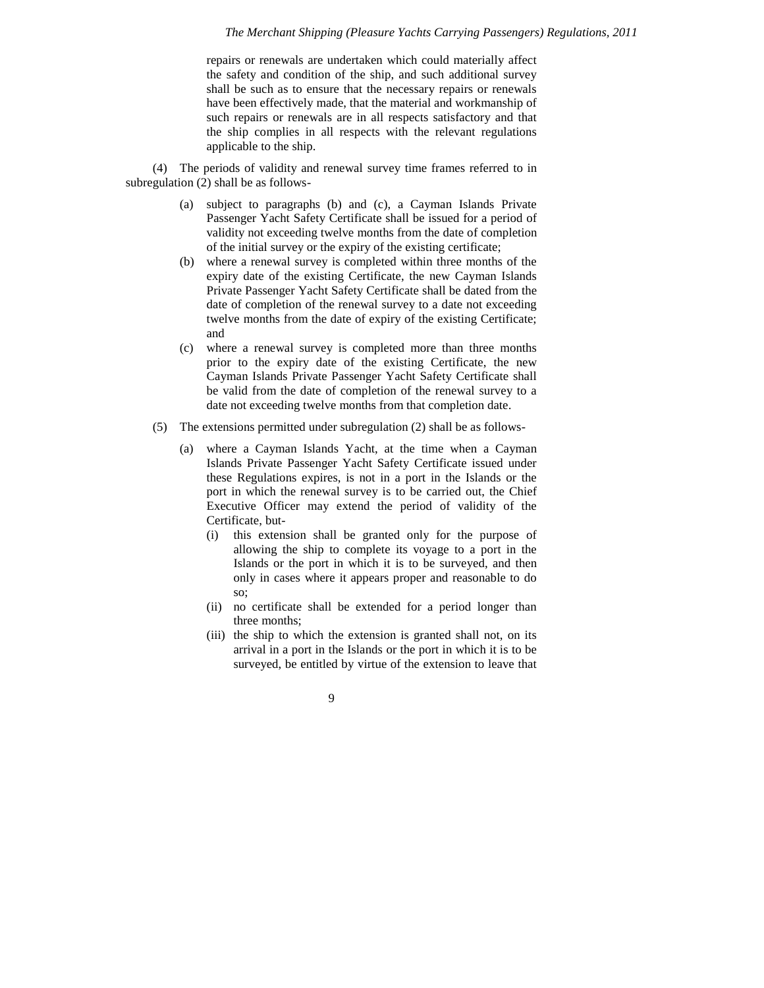repairs or renewals are undertaken which could materially affect the safety and condition of the ship, and such additional survey shall be such as to ensure that the necessary repairs or renewals have been effectively made, that the material and workmanship of such repairs or renewals are in all respects satisfactory and that the ship complies in all respects with the relevant regulations applicable to the ship.

(4) The periods of validity and renewal survey time frames referred to in subregulation (2) shall be as follows-

- (a) subject to paragraphs (b) and (c), a Cayman Islands Private Passenger Yacht Safety Certificate shall be issued for a period of validity not exceeding twelve months from the date of completion of the initial survey or the expiry of the existing certificate;
- (b) where a renewal survey is completed within three months of the expiry date of the existing Certificate, the new Cayman Islands Private Passenger Yacht Safety Certificate shall be dated from the date of completion of the renewal survey to a date not exceeding twelve months from the date of expiry of the existing Certificate; and
- (c) where a renewal survey is completed more than three months prior to the expiry date of the existing Certificate, the new Cayman Islands Private Passenger Yacht Safety Certificate shall be valid from the date of completion of the renewal survey to a date not exceeding twelve months from that completion date.
- (5) The extensions permitted under subregulation (2) shall be as follows-
	- (a) where a Cayman Islands Yacht, at the time when a Cayman Islands Private Passenger Yacht Safety Certificate issued under these Regulations expires, is not in a port in the Islands or the port in which the renewal survey is to be carried out, the Chief Executive Officer may extend the period of validity of the Certificate, but-
		- (i) this extension shall be granted only for the purpose of allowing the ship to complete its voyage to a port in the Islands or the port in which it is to be surveyed, and then only in cases where it appears proper and reasonable to do so;
		- (ii) no certificate shall be extended for a period longer than three months;
		- (iii) the ship to which the extension is granted shall not, on its arrival in a port in the Islands or the port in which it is to be surveyed, be entitled by virtue of the extension to leave that
			- 9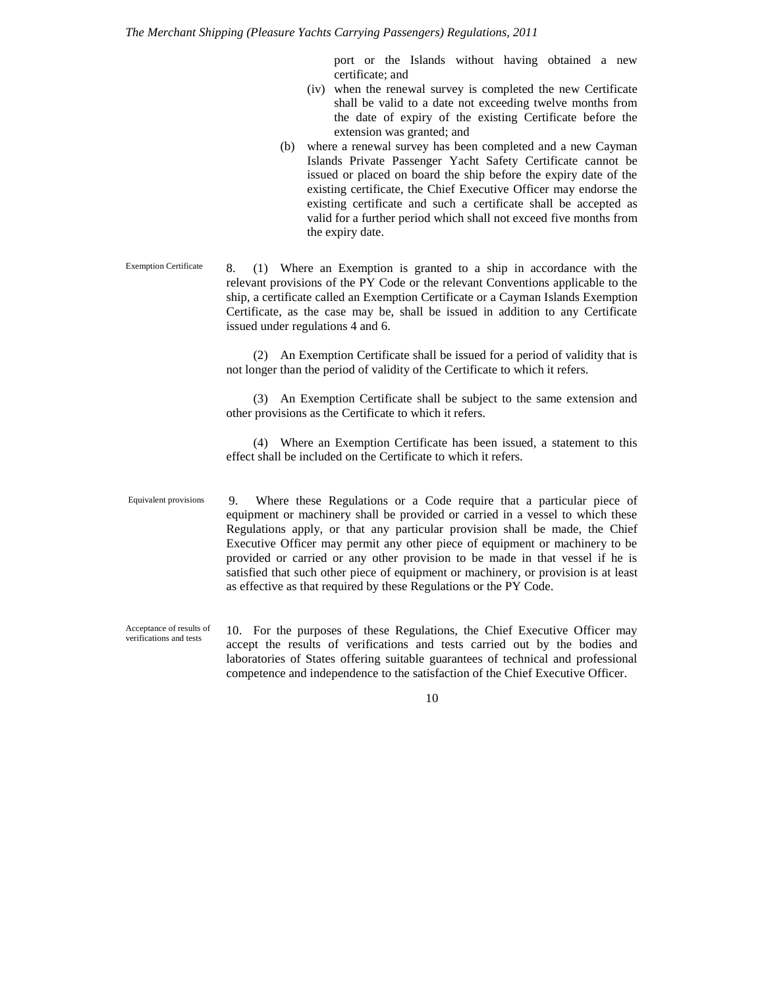port or the Islands without having obtained a new certificate; and

- (iv) when the renewal survey is completed the new Certificate shall be valid to a date not exceeding twelve months from the date of expiry of the existing Certificate before the extension was granted; and
- (b) where a renewal survey has been completed and a new Cayman Islands Private Passenger Yacht Safety Certificate cannot be issued or placed on board the ship before the expiry date of the existing certificate, the Chief Executive Officer may endorse the existing certificate and such a certificate shall be accepted as valid for a further period which shall not exceed five months from the expiry date.
- 8. (1) Where an Exemption is granted to a ship in accordance with the relevant provisions of the PY Code or the relevant Conventions applicable to the ship, a certificate called an Exemption Certificate or a Cayman Islands Exemption Certificate, as the case may be, shall be issued in addition to any Certificate issued under regulations 4 and 6. Exemption Certificate

(2) An Exemption Certificate shall be issued for a period of validity that is not longer than the period of validity of the Certificate to which it refers.

(3) An Exemption Certificate shall be subject to the same extension and other provisions as the Certificate to which it refers.

(4) Where an Exemption Certificate has been issued, a statement to this effect shall be included on the Certificate to which it refers.

- 9. Where these Regulations or a Code require that a particular piece of equipment or machinery shall be provided or carried in a vessel to which these Regulations apply, or that any particular provision shall be made, the Chief Executive Officer may permit any other piece of equipment or machinery to be provided or carried or any other provision to be made in that vessel if he is satisfied that such other piece of equipment or machinery, or provision is at least as effective as that required by these Regulations or the PY Code. Equivalent provisions
- 10. For the purposes of these Regulations, the Chief Executive Officer may accept the results of verifications and tests carried out by the bodies and laboratories of States offering suitable guarantees of technical and professional competence and independence to the satisfaction of the Chief Executive Officer. Acceptance of results of verifications and tests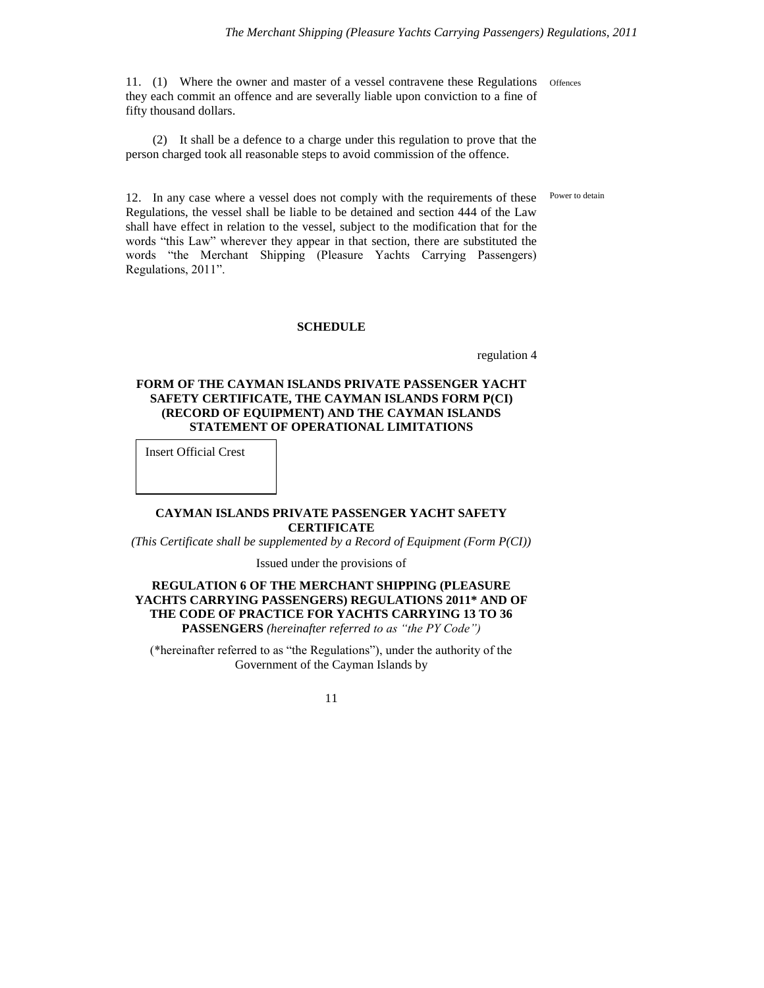11. (1) Where the owner and master of a vessel contravene these Regulations they each commit an offence and are severally liable upon conviction to a fine of fifty thousand dollars. **Offences** 

(2) It shall be a defence to a charge under this regulation to prove that the person charged took all reasonable steps to avoid commission of the offence.

Power to detain

12. In any case where a vessel does not comply with the requirements of these Regulations, the vessel shall be liable to be detained and section 444 of the Law shall have effect in relation to the vessel, subject to the modification that for the words "this Law" wherever they appear in that section, there are substituted the words "the Merchant Shipping (Pleasure Yachts Carrying Passengers) Regulations, 2011".

#### **SCHEDULE**

regulation 4

### **FORM OF THE CAYMAN ISLANDS PRIVATE PASSENGER YACHT SAFETY CERTIFICATE, THE CAYMAN ISLANDS FORM P(CI) (RECORD OF EQUIPMENT) AND THE CAYMAN ISLANDS STATEMENT OF OPERATIONAL LIMITATIONS**

Insert Official Crest

#### **CAYMAN ISLANDS PRIVATE PASSENGER YACHT SAFETY CERTIFICATE**

*(This Certificate shall be supplemented by a Record of Equipment (Form P(CI))*

Issued under the provisions of

### **REGULATION 6 OF THE MERCHANT SHIPPING (PLEASURE YACHTS CARRYING PASSENGERS) REGULATIONS 2011\* AND OF THE CODE OF PRACTICE FOR YACHTS CARRYING 13 TO 36 PASSENGERS** *(hereinafter referred to as "the PY Code")*

(\*hereinafter referred to as "the Regulations"), under the authority of the Government of the Cayman Islands by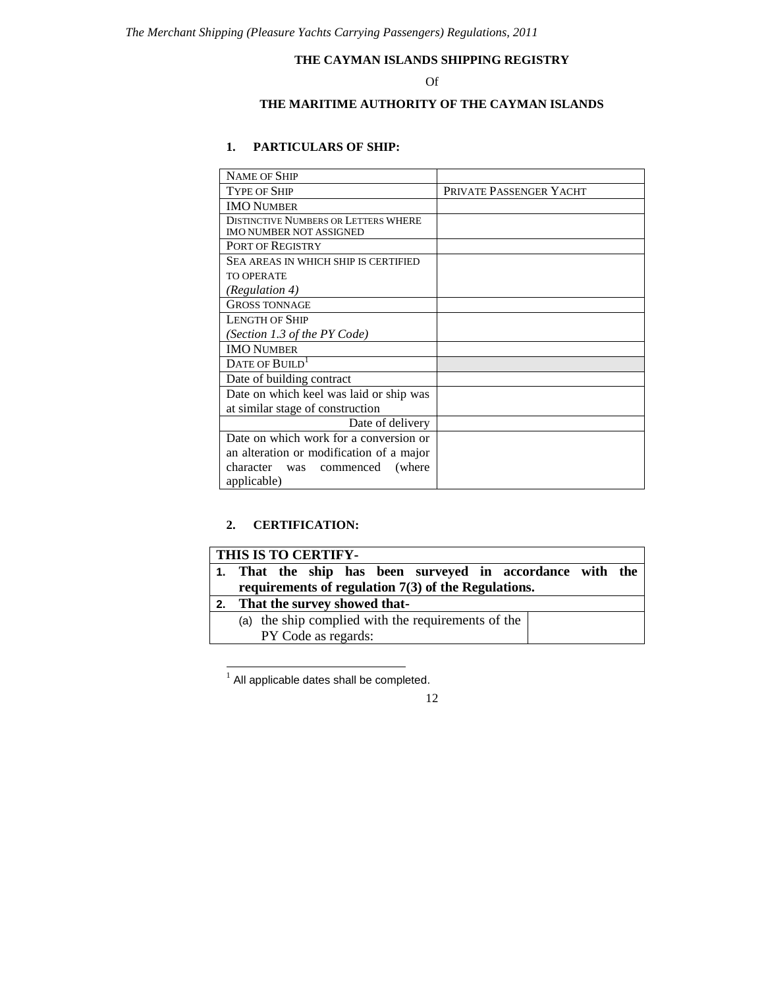## **THE CAYMAN ISLANDS SHIPPING REGISTRY**

## Of

# **THE MARITIME AUTHORITY OF THE CAYMAN ISLANDS**

# **1. PARTICULARS OF SHIP:**

| <b>NAME OF SHIP</b>                                                           |                         |
|-------------------------------------------------------------------------------|-------------------------|
| <b>TYPE OF SHIP</b>                                                           | PRIVATE PASSENGER YACHT |
| <b>IMO NUMBER</b>                                                             |                         |
| <b>DISTINCTIVE NUMBERS OR LETTERS WHERE</b><br><b>IMO NUMBER NOT ASSIGNED</b> |                         |
| PORT OF REGISTRY                                                              |                         |
| SEA AREAS IN WHICH SHIP IS CERTIFIED                                          |                         |
| <b>TO OPERATE</b>                                                             |                         |
| (Regulation 4)                                                                |                         |
| <b>GROSS TONNAGE</b>                                                          |                         |
| <b>LENGTH OF SHIP</b>                                                         |                         |
| (Section 1.3 of the PY Code)                                                  |                         |
| <b>IMO NUMBER</b>                                                             |                         |
| DATE OF BUILD <sup>1</sup>                                                    |                         |
| Date of building contract                                                     |                         |
| Date on which keel was laid or ship was                                       |                         |
| at similar stage of construction                                              |                         |
| Date of delivery                                                              |                         |
| Date on which work for a conversion or                                        |                         |
| an alteration or modification of a major                                      |                         |
| character<br>commenced<br>(where)<br>was                                      |                         |
| applicable)                                                                   |                         |

# **2. CERTIFICATION:**

| THIS IS TO CERTIFY-                                       |
|-----------------------------------------------------------|
| 1. That the ship has been surveyed in accordance with the |
| requirements of regulation $7(3)$ of the Regulations.     |
| That the survey showed that-                              |
| (a) the ship complied with the requirements of the        |
| PY Code as regards:                                       |

1 All applicable dates shall be completed.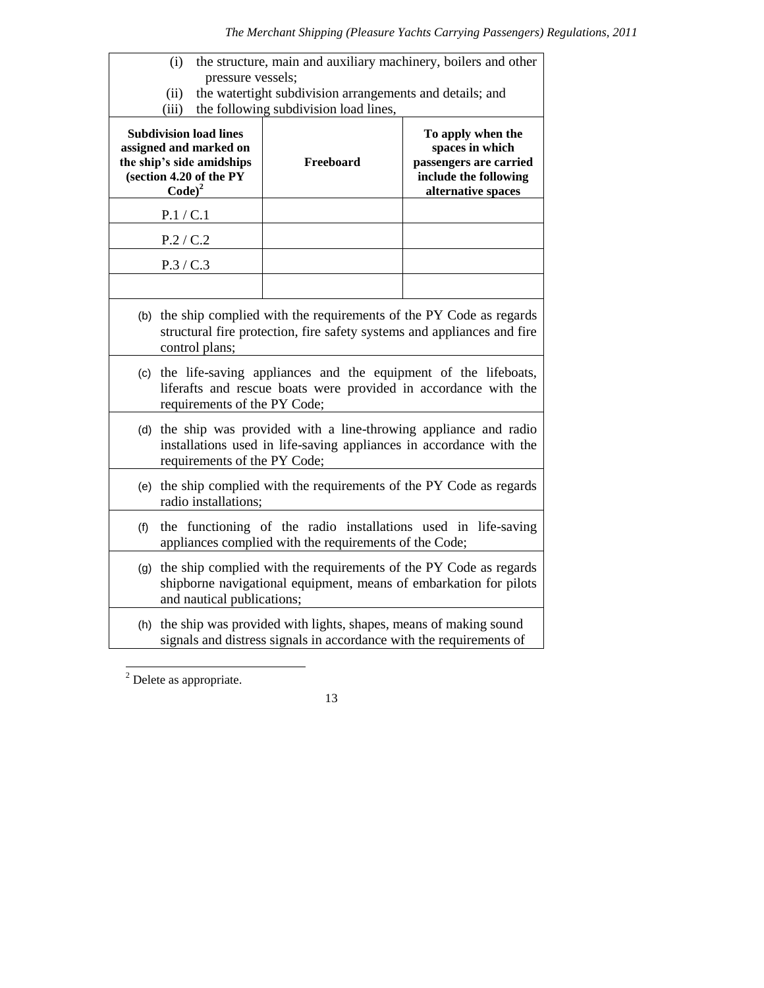| the structure, main and auxiliary machinery, boilers and other<br>(i)                                                                                                       |                                                                                                                                                  |                                                                                                               |  |  |  |
|-----------------------------------------------------------------------------------------------------------------------------------------------------------------------------|--------------------------------------------------------------------------------------------------------------------------------------------------|---------------------------------------------------------------------------------------------------------------|--|--|--|
| pressure vessels;<br>the watertight subdivision arrangements and details; and<br>(ii)                                                                                       |                                                                                                                                                  |                                                                                                               |  |  |  |
| (iii)                                                                                                                                                                       | the following subdivision load lines,                                                                                                            |                                                                                                               |  |  |  |
| <b>Subdivision load lines</b><br>assigned and marked on<br>the ship's side amidships<br>(section 4.20 of the PY<br>$Code)^2$                                                | Freeboard                                                                                                                                        | To apply when the<br>spaces in which<br>passengers are carried<br>include the following<br>alternative spaces |  |  |  |
| P.1 / C.1                                                                                                                                                                   |                                                                                                                                                  |                                                                                                               |  |  |  |
| P.2 / C.2                                                                                                                                                                   |                                                                                                                                                  |                                                                                                               |  |  |  |
| P.3 / C.3                                                                                                                                                                   |                                                                                                                                                  |                                                                                                               |  |  |  |
|                                                                                                                                                                             |                                                                                                                                                  |                                                                                                               |  |  |  |
| control plans;                                                                                                                                                              | (b) the ship complied with the requirements of the PY Code as regards<br>structural fire protection, fire safety systems and appliances and fire |                                                                                                               |  |  |  |
| (c) the life-saving appliances and the equipment of the lifeboats,<br>liferafts and rescue boats were provided in accordance with the<br>requirements of the PY Code;       |                                                                                                                                                  |                                                                                                               |  |  |  |
| (d) the ship was provided with a line-throwing appliance and radio<br>installations used in life-saving appliances in accordance with the<br>requirements of the PY Code;   |                                                                                                                                                  |                                                                                                               |  |  |  |
| (e) the ship complied with the requirements of the PY Code as regards<br>radio installations;                                                                               |                                                                                                                                                  |                                                                                                               |  |  |  |
| the functioning of the radio installations used in life-saving<br>(f)<br>appliances complied with the requirements of the Code;                                             |                                                                                                                                                  |                                                                                                               |  |  |  |
| the ship complied with the requirements of the PY Code as regards<br>(g)<br>shipborne navigational equipment, means of embarkation for pilots<br>and nautical publications; |                                                                                                                                                  |                                                                                                               |  |  |  |
|                                                                                                                                                                             | (h) the ship was provided with lights, shapes, means of making sound<br>signals and distress signals in accordance with the requirements of      |                                                                                                               |  |  |  |

l  $2$  Delete as appropriate.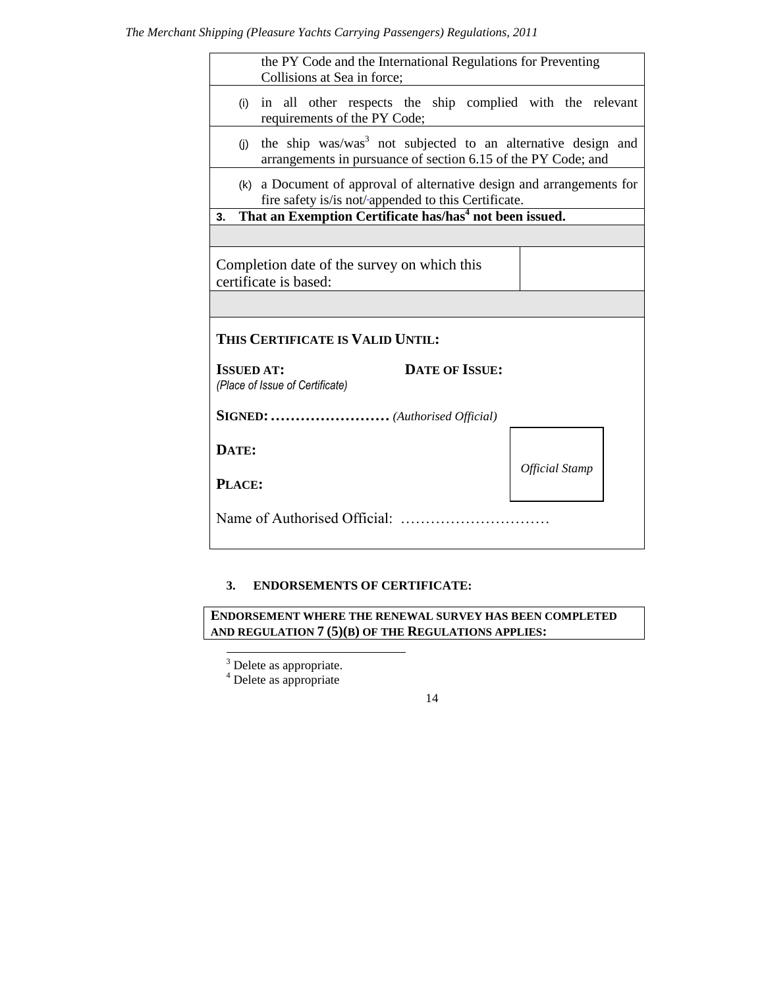# *The Merchant Shipping (Pleasure Yachts Carrying Passengers) Regulations, 2011*

| the PY Code and the International Regulations for Preventing<br>Collisions at Sea in force;                                                      |                                                                       |  |  |  |  |
|--------------------------------------------------------------------------------------------------------------------------------------------------|-----------------------------------------------------------------------|--|--|--|--|
| in all other respects the ship complied with the relevant<br>(i)<br>requirements of the PY Code;                                                 |                                                                       |  |  |  |  |
| the ship was/was <sup>3</sup> not subjected to an alternative design and<br>(i)<br>arrangements in pursuance of section 6.15 of the PY Code; and |                                                                       |  |  |  |  |
| fire safety is/is not/-appended to this Certificate.                                                                                             | (k) a Document of approval of alternative design and arrangements for |  |  |  |  |
| That an Exemption Certificate has/has <sup>4</sup> not been issued.<br>3.                                                                        |                                                                       |  |  |  |  |
|                                                                                                                                                  |                                                                       |  |  |  |  |
| Completion date of the survey on which this<br>certificate is based:                                                                             |                                                                       |  |  |  |  |
|                                                                                                                                                  |                                                                       |  |  |  |  |
| THIS CERTIFICATE IS VALID UNTIL:                                                                                                                 |                                                                       |  |  |  |  |
| <b>DATE OF ISSUE:</b><br><b>ISSUED AT:</b><br>(Place of Issue of Certificate)                                                                    |                                                                       |  |  |  |  |
| SIGNED:  (Authorised Official)                                                                                                                   |                                                                       |  |  |  |  |
| DATE:                                                                                                                                            |                                                                       |  |  |  |  |
| <b>Official Stamp</b><br>PLACE:                                                                                                                  |                                                                       |  |  |  |  |
| Name of Authorised Official:                                                                                                                     |                                                                       |  |  |  |  |

# **3. ENDORSEMENTS OF CERTIFICATE:**

**ENDORSEMENT WHERE THE RENEWAL SURVEY HAS BEEN COMPLETED AND REGULATION 7 (5)(B) OF THE REGULATIONS APPLIES:**

l

<sup>4</sup> Delete as appropriate

 $3$  Delete as appropriate.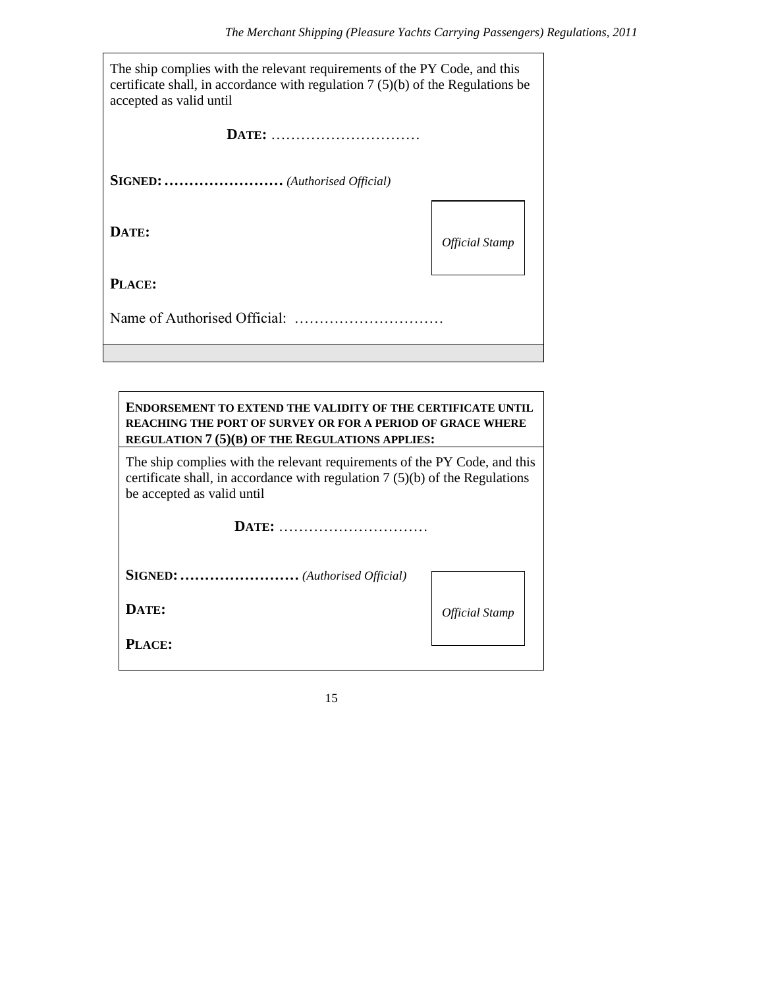| The ship complies with the relevant requirements of the PY Code, and this<br>certificate shall, in accordance with regulation $7(5)(b)$ of the Regulations be<br>accepted as valid until |                              |  |  |  |
|------------------------------------------------------------------------------------------------------------------------------------------------------------------------------------------|------------------------------|--|--|--|
| DATE:                                                                                                                                                                                    |                              |  |  |  |
|                                                                                                                                                                                          |                              |  |  |  |
| DATE:                                                                                                                                                                                    | <i><b>Official Stamp</b></i> |  |  |  |
| PLACE:                                                                                                                                                                                   |                              |  |  |  |
|                                                                                                                                                                                          |                              |  |  |  |

| <b>ENDORSEMENT TO EXTEND THE VALIDITY OF THE CERTIFICATE UNTIL</b><br><b>REACHING THE PORT OF SURVEY OR FOR A PERIOD OF GRACE WHERE</b><br>REGULATION 7 (5)(B) OF THE REGULATIONS APPLIES: |                              |  |  |  |
|--------------------------------------------------------------------------------------------------------------------------------------------------------------------------------------------|------------------------------|--|--|--|
| The ship complies with the relevant requirements of the PY Code, and this<br>certificate shall, in accordance with regulation $7(5)(b)$ of the Regulations<br>be accepted as valid until   |                              |  |  |  |
| DATE:                                                                                                                                                                                      |                              |  |  |  |
| SIGNED:  (Authorised Official)                                                                                                                                                             |                              |  |  |  |
| DATE:                                                                                                                                                                                      | <i><b>Official Stamp</b></i> |  |  |  |
| PLACE:                                                                                                                                                                                     |                              |  |  |  |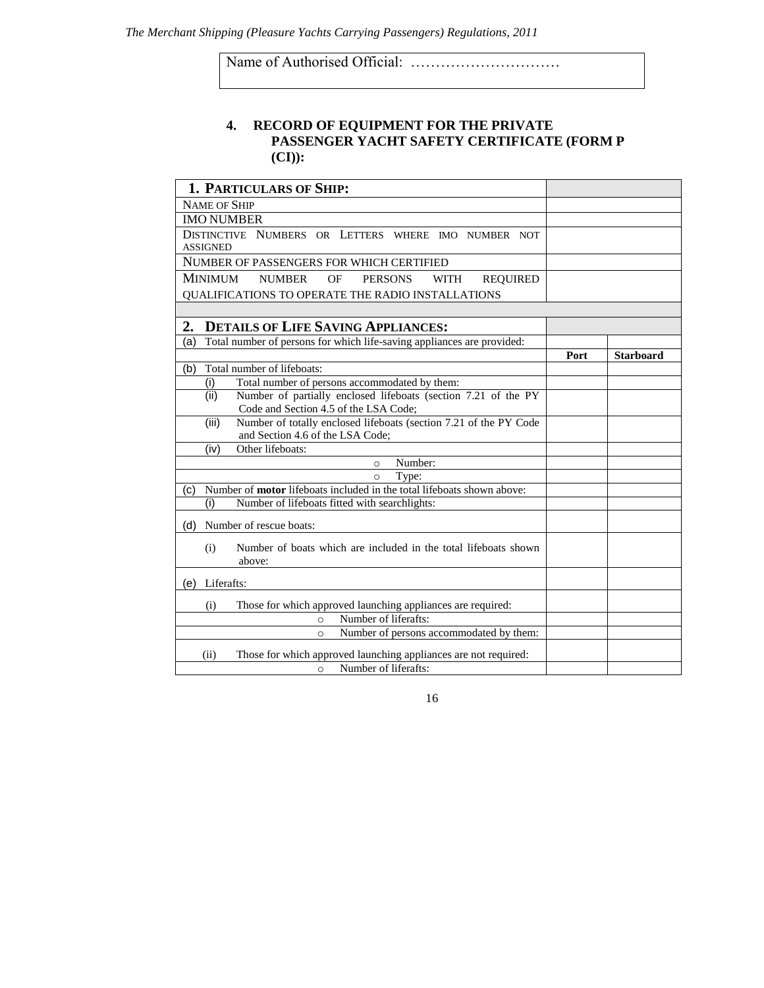Name of Authorised Official: …………………………

# **4. RECORD OF EQUIPMENT FOR THE PRIVATE PASSENGER YACHT SAFETY CERTIFICATE (FORM P (CI)):**

| <b>1. PARTICULARS OF SHIP:</b>                                                                             |      |                  |
|------------------------------------------------------------------------------------------------------------|------|------------------|
| <b>NAME OF SHIP</b>                                                                                        |      |                  |
| <b>IMO NUMBER</b>                                                                                          |      |                  |
| DISTINCTIVE NUMBERS OR LETTERS WHERE IMO NUMBER NOT                                                        |      |                  |
| <b>ASSIGNED</b>                                                                                            |      |                  |
| NUMBER OF PASSENGERS FOR WHICH CERTIFIED                                                                   |      |                  |
| <b>MINIMUM</b><br><b>NUMBER</b><br><b>PERSONS</b><br>OF<br><b>WITH</b><br><b>REQUIRED</b>                  |      |                  |
| QUALIFICATIONS TO OPERATE THE RADIO INSTALLATIONS                                                          |      |                  |
|                                                                                                            |      |                  |
| <b>DETAILS OF LIFE SAVING APPLIANCES:</b><br>2.                                                            |      |                  |
| Total number of persons for which life-saving appliances are provided:<br>(a)                              |      |                  |
|                                                                                                            | Port | <b>Starboard</b> |
| Total number of lifeboats:<br>(b)                                                                          |      |                  |
| (i)<br>Total number of persons accommodated by them:                                                       |      |                  |
| (ii)<br>Number of partially enclosed lifeboats (section 7.21 of the PY                                     |      |                  |
| Code and Section 4.5 of the LSA Code;                                                                      |      |                  |
| Number of totally enclosed lifeboats (section 7.21 of the PY Code<br>(iii)                                 |      |                  |
| and Section 4.6 of the LSA Code;<br>Other lifeboats:<br>(iv)                                               |      |                  |
| Number:<br>$\Omega$                                                                                        |      |                  |
| Type:<br>$\Omega$                                                                                          |      |                  |
| Number of <b>motor</b> lifeboats included in the total lifeboats shown above:<br>(c)                       |      |                  |
| Number of lifeboats fitted with searchlights:<br>(i)                                                       |      |                  |
| (d)<br>Number of rescue boats:                                                                             |      |                  |
|                                                                                                            |      |                  |
| Number of boats which are included in the total lifeboats shown<br>(i)                                     |      |                  |
| above:                                                                                                     |      |                  |
| (e)<br>Liferafts:                                                                                          |      |                  |
| Those for which approved launching appliances are required:<br>(i)                                         |      |                  |
| Number of liferafts:<br>$\circ$                                                                            |      |                  |
| Number of persons accommodated by them:<br>$\Omega$                                                        |      |                  |
|                                                                                                            |      |                  |
| Those for which approved launching appliances are not required:<br>(ii)<br>Number of liferafts:<br>$\circ$ |      |                  |
|                                                                                                            |      |                  |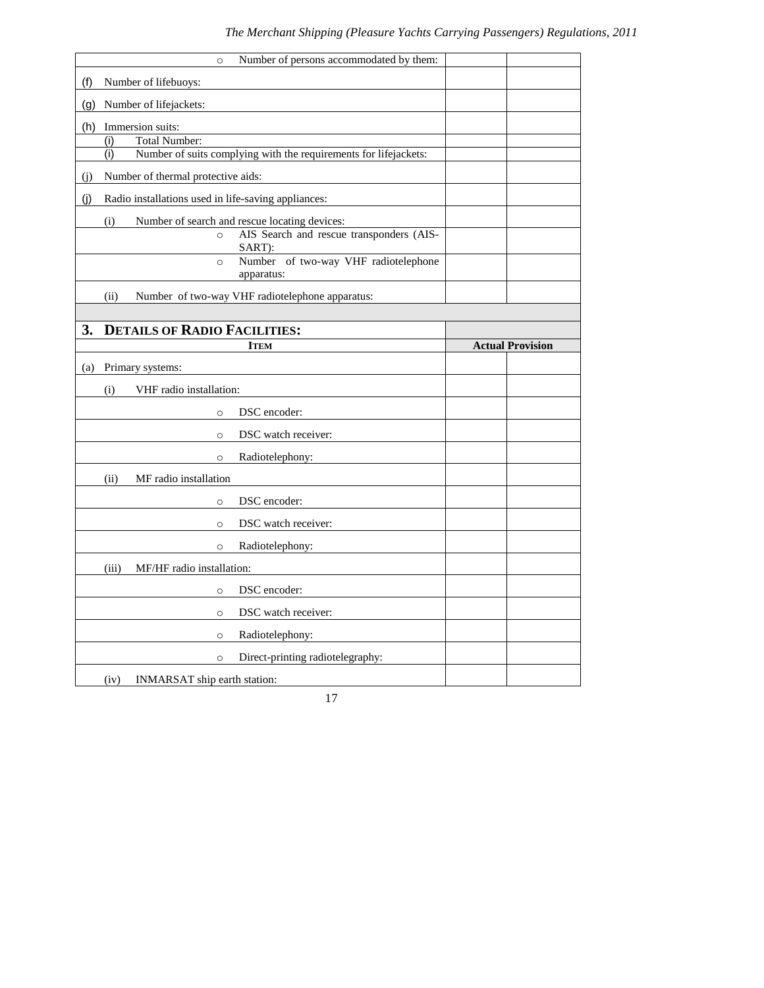|     | Number of persons accommodated by them:<br>$\circ$                      |                         |
|-----|-------------------------------------------------------------------------|-------------------------|
| (f) | Number of lifebuoys:                                                    |                         |
| (g) | Number of lifejackets:                                                  |                         |
| (h) | Immersion suits:                                                        |                         |
|     | <b>Total Number:</b><br>(i)                                             |                         |
|     | Number of suits complying with the requirements for lifejackets:<br>(i) |                         |
| (i) | Number of thermal protective aids:                                      |                         |
| (i) | Radio installations used in life-saving appliances:                     |                         |
|     | (i)<br>Number of search and rescue locating devices:                    |                         |
|     | AIS Search and rescue transponders (AIS-<br>$\circ$<br>SART):           |                         |
|     | Number of two-way VHF radiotelephone<br>$\circ$<br>apparatus:           |                         |
|     | (ii)<br>Number of two-way VHF radiotelephone apparatus:                 |                         |
|     |                                                                         |                         |
| 3.  | <b>DETAILS OF RADIO FACILITIES:</b>                                     |                         |
|     | <b>ITEM</b>                                                             | <b>Actual Provision</b> |
| (a) | Primary systems:                                                        |                         |
|     | (i)<br>VHF radio installation:                                          |                         |
|     | DSC encoder:<br>$\circ$                                                 |                         |
|     | DSC watch receiver:<br>$\circ$                                          |                         |
|     | Radiotelephony:<br>$\circ$                                              |                         |
|     | MF radio installation<br>(ii)                                           |                         |
|     | DSC encoder:<br>$\circ$                                                 |                         |
|     | DSC watch receiver:<br>$\circ$                                          |                         |
|     | Radiotelephony:<br>$\circ$                                              |                         |
|     | MF/HF radio installation:<br>(iii)                                      |                         |
|     | DSC encoder:<br>$\circ$                                                 |                         |
|     | DSC watch receiver:<br>$\circ$                                          |                         |
|     | Radiotelephony:<br>$\circ$                                              |                         |
|     | Direct-printing radiotelegraphy:<br>$\circ$                             |                         |
|     | INMARSAT ship earth station:<br>(iv)                                    |                         |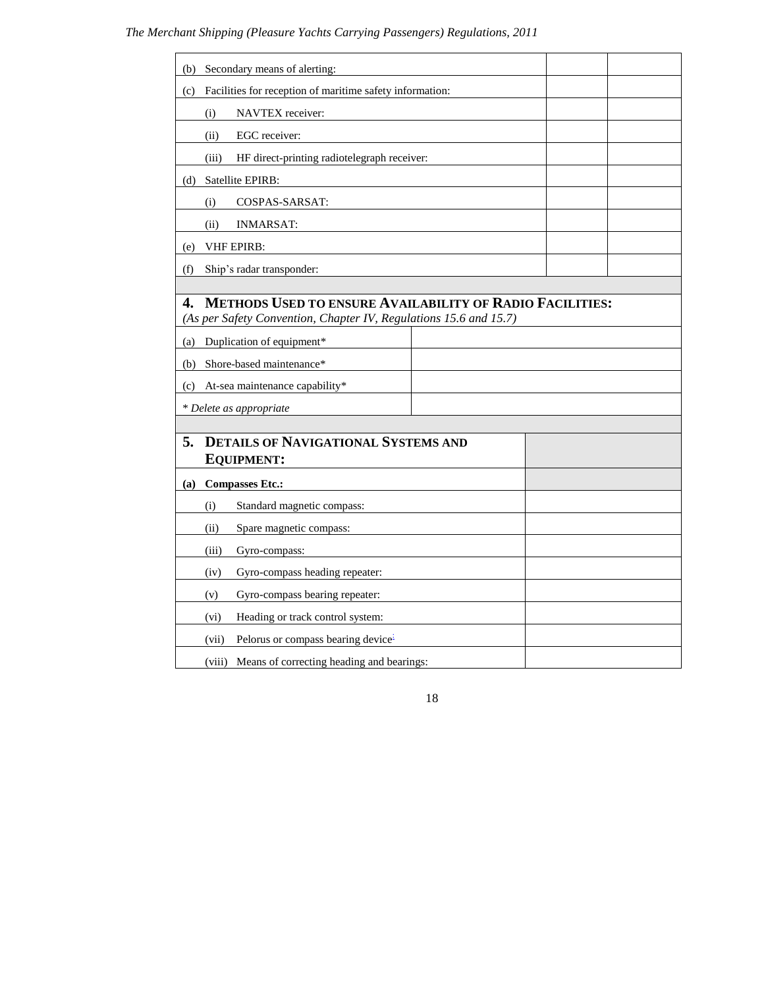| Secondary means of alerting:<br>(b)                                                                                                        |  |  |
|--------------------------------------------------------------------------------------------------------------------------------------------|--|--|
| Facilities for reception of maritime safety information:<br>(c)                                                                            |  |  |
| NAVTEX receiver:<br>(i)                                                                                                                    |  |  |
| EGC receiver:<br>(ii)                                                                                                                      |  |  |
| (iii)<br>HF direct-printing radiotelegraph receiver:                                                                                       |  |  |
| Satellite EPIRB:<br>(d)                                                                                                                    |  |  |
| COSPAS-SARSAT:<br>(i)                                                                                                                      |  |  |
| <b>INMARSAT:</b><br>(ii)                                                                                                                   |  |  |
| <b>VHF EPIRB:</b><br>(e)                                                                                                                   |  |  |
| Ship's radar transponder:<br>(f)                                                                                                           |  |  |
|                                                                                                                                            |  |  |
| <b>METHODS USED TO ENSURE AVAILABILITY OF RADIO FACILITIES:</b><br>4.<br>(As per Safety Convention, Chapter IV, Regulations 15.6 and 15.7) |  |  |
| Duplication of equipment*<br>(a)                                                                                                           |  |  |
| Shore-based maintenance*<br>(b)                                                                                                            |  |  |
| At-sea maintenance capability*<br>(c)                                                                                                      |  |  |
| * Delete as appropriate                                                                                                                    |  |  |
|                                                                                                                                            |  |  |
| <b>DETAILS OF NAVIGATIONAL SYSTEMS AND</b><br>5.<br><b>EQUIPMENT:</b>                                                                      |  |  |
|                                                                                                                                            |  |  |
| <b>Compasses Etc.:</b><br>(a)                                                                                                              |  |  |
| Standard magnetic compass:<br>(i)                                                                                                          |  |  |
| Spare magnetic compass:<br>(ii)                                                                                                            |  |  |
| (iii)<br>Gyro-compass:                                                                                                                     |  |  |
| Gyro-compass heading repeater:<br>(iv)                                                                                                     |  |  |
| Gyro-compass bearing repeater:<br>(v)                                                                                                      |  |  |
| Heading or track control system:<br>(vi)                                                                                                   |  |  |
| Pelorus or compass bearing device <sup>1</sup><br>(vii)                                                                                    |  |  |
| Means of correcting heading and bearings:<br>(viii)                                                                                        |  |  |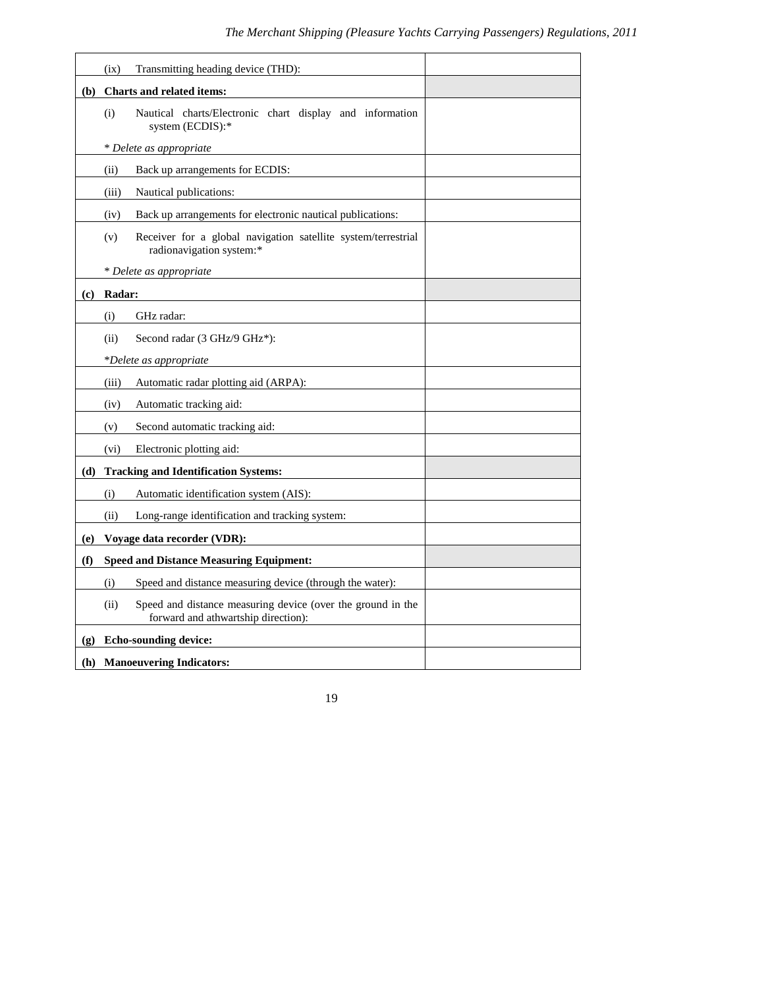|                             | Transmitting heading device (THD):<br>(ix)                                                                 |  |
|-----------------------------|------------------------------------------------------------------------------------------------------------|--|
| (b)                         | <b>Charts and related items:</b>                                                                           |  |
|                             | Nautical charts/Electronic chart display and information<br>(i)<br>system (ECDIS):*                        |  |
|                             | * Delete as appropriate                                                                                    |  |
|                             | Back up arrangements for ECDIS:<br>(ii)                                                                    |  |
|                             | Nautical publications:<br>(iii)                                                                            |  |
|                             | Back up arrangements for electronic nautical publications:<br>(iv)                                         |  |
|                             | Receiver for a global navigation satellite system/terrestrial<br>(v)<br>radionavigation system:*           |  |
|                             | * Delete as appropriate                                                                                    |  |
| (c)                         | Radar:                                                                                                     |  |
|                             | (i)<br>GHz radar:                                                                                          |  |
|                             | Second radar (3 GHz/9 GHz*):<br>(ii)                                                                       |  |
|                             | *Delete as appropriate                                                                                     |  |
|                             | (iii)<br>Automatic radar plotting aid (ARPA):                                                              |  |
|                             | Automatic tracking aid:<br>(iv)                                                                            |  |
|                             | Second automatic tracking aid:<br>(v)                                                                      |  |
|                             | (vi)<br>Electronic plotting aid:                                                                           |  |
| (d)                         | <b>Tracking and Identification Systems:</b>                                                                |  |
|                             | Automatic identification system (AIS):<br>(i)                                                              |  |
|                             | (ii)<br>Long-range identification and tracking system:                                                     |  |
| (e)                         | Voyage data recorder (VDR):                                                                                |  |
| (f)                         | <b>Speed and Distance Measuring Equipment:</b>                                                             |  |
|                             | Speed and distance measuring device (through the water):<br>(i)                                            |  |
|                             | (ii)<br>Speed and distance measuring device (over the ground in the<br>forward and athwartship direction): |  |
| $\left( \mathbf{g} \right)$ | <b>Echo-sounding device:</b>                                                                               |  |
|                             | (h) Manoeuvering Indicators:                                                                               |  |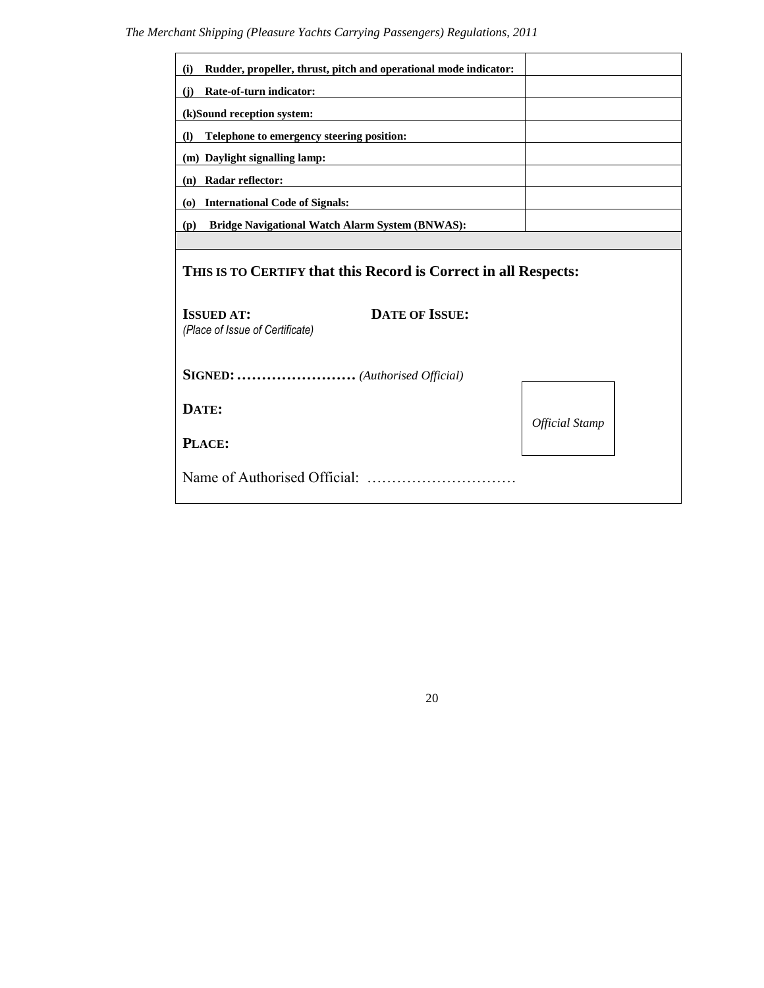| Rudder, propeller, thrust, pitch and operational mode indicator:<br>(i)       |                       |  |  |  |
|-------------------------------------------------------------------------------|-----------------------|--|--|--|
| Rate-of-turn indicator:<br>(i)                                                |                       |  |  |  |
| (k)Sound reception system:                                                    |                       |  |  |  |
| Telephone to emergency steering position:<br>$\Omega$                         |                       |  |  |  |
| (m) Daylight signalling lamp:                                                 |                       |  |  |  |
| Radar reflector:<br>(n)                                                       |                       |  |  |  |
| <b>International Code of Signals:</b><br>$\boldsymbol{\omega}$                |                       |  |  |  |
| Bridge Navigational Watch Alarm System (BNWAS):<br>(p)                        |                       |  |  |  |
|                                                                               |                       |  |  |  |
| THIS IS TO CERTIFY that this Record is Correct in all Respects:               |                       |  |  |  |
| <b>DATE OF ISSUE:</b><br><b>ISSUED AT:</b><br>(Place of Issue of Certificate) |                       |  |  |  |
| SIGNED:  (Authorised Official)                                                |                       |  |  |  |
| DATE:                                                                         | <b>Official Stamp</b> |  |  |  |
| PLACE:                                                                        |                       |  |  |  |
|                                                                               |                       |  |  |  |

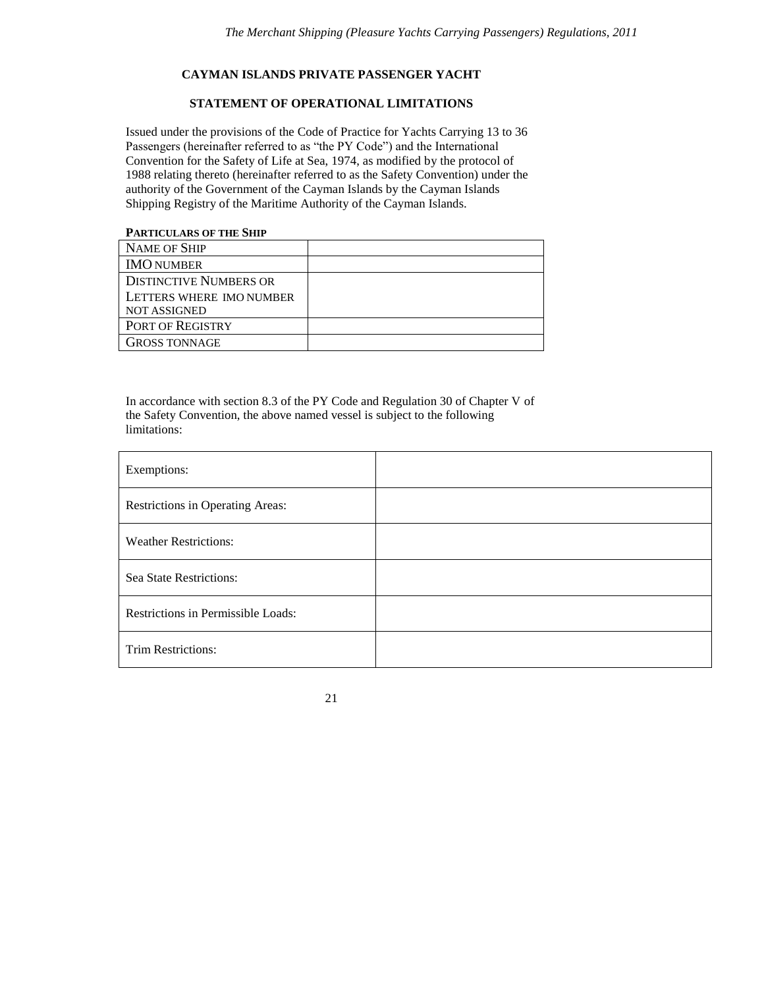#### **CAYMAN ISLANDS PRIVATE PASSENGER YACHT**

# **STATEMENT OF OPERATIONAL LIMITATIONS**

Issued under the provisions of the Code of Practice for Yachts Carrying 13 to 36 Passengers (hereinafter referred to as "the PY Code") and the International Convention for the Safety of Life at Sea, 1974, as modified by the protocol of 1988 relating thereto (hereinafter referred to as the Safety Convention) under the authority of the Government of the Cayman Islands by the Cayman Islands Shipping Registry of the Maritime Authority of the Cayman Islands.

# **PARTICULARS OF THE SHIP**

| NAME OF SHIP                  |  |
|-------------------------------|--|
| <b>IMO NUMBER</b>             |  |
| <b>DISTINCTIVE NUMBERS OR</b> |  |
| LETTERS WHERE IMO NUMBER      |  |
| <b>NOT ASSIGNED</b>           |  |
| <b>PORT OF REGISTRY</b>       |  |
| <b>GROSS TONNAGE</b>          |  |

In accordance with section 8.3 of the PY Code and Regulation 30 of Chapter V of the Safety Convention, the above named vessel is subject to the following limitations:

| Exemptions:                        |  |
|------------------------------------|--|
| Restrictions in Operating Areas:   |  |
| <b>Weather Restrictions:</b>       |  |
| Sea State Restrictions:            |  |
| Restrictions in Permissible Loads: |  |
| Trim Restrictions:                 |  |